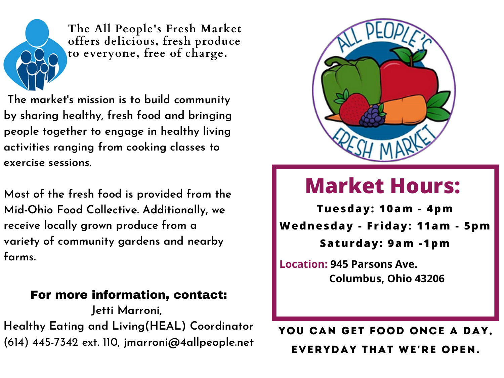**The market' s mission is to build community by sharing healthy, fresh food and bringing people together to engage in healthy living activities ranging from cooking classes to exercise sessions.**

**Most of the fresh food is provided from the Mid-Ohio Food Collective. Additionally, we receive locally grown produce from a variety of community gardens and nearby farms.**

#### For more information, contact:

### YOU CAN GET FOOD ONCE A DAY, Everyday That We're Open.

**Jetti Marroni,**

**Healthy Eating and Living(HEAL) Coordinator** (614) 445-7342 ext. 110, **jmarroni@4allpeople.net**



## **Market Hours:**

**Tuesday: 10am - 4pm**

**Wednesday - Fr iday: 11am - 5pm**

**Saturday: 9am -1pm**



**The All People's Fresh Market offers delicious, fresh produce to everyone, free of charge.**

> **Location: 945 Parsons Ave. Columbus, Ohio 43206**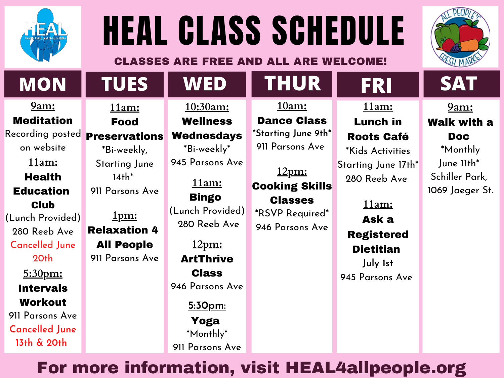



# HEAL CLASS SCHEDULE CLASSES ARE FREE AND ALL ARE WELCOME!

## For more information, visit HEAL4allpeople.org

#### **9am:** Meditation

Recording posted on website **11am: Health** Education **Club** (Lunch Provided) 280 Reeb Ave Cancelled June

20th **5:30pm:** Intervals Workout 911 Parsons Ave **Cancelled June 13th & 20th**

**11am:**

#### Food

#### Preservations

\*Bi-weekly, Starting June  $14th^*$ 911 Parsons Ave

**1pm:** Relaxation 4 All People 911 Parsons Ave

**10:30am: Wellness** Wednesdays

\*Bi-weekly \* 945 Parsons Ave

**11am:** Bingo (Lunch Provided) 280 Reeb Ave

**12pm:** ArtThrive **Class** 946 Parsons Ave

**5:30pm:** Yoga \*Monthly \* 911 Parsons Ave **11am:**

Lunch in Roots Café

\*Kids Activities Starting June 17th\* 280 Reeb Ave

**11am:**

Ask a Registered Dietitian **July 1st** 945 Parsons Ave





#### **12pm:** Cooking Skills Classes

**\***RSVP Required\* 946 Parsons Ave

**9am:** Walk with a Doc \*Monthly June 11th\* Schiller Park, 1069 Jaeger St.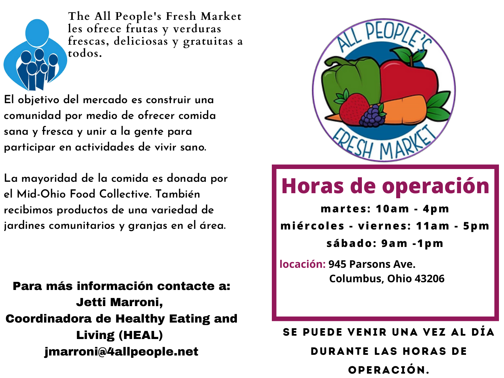**El objetivo del mercado es construir una comunidad por medio de ofrecer comida sana y fresca y unir a la gente para participar en actividades de vivir sano.**

**La mayoridad de la comida es donada por el Mid-Ohio Food Collective. También recibimos productos de una variedad de jardines comunitarios y granjas en el área.**

### Para más información contacte a: Jetti Marroni, Coordinadora de Healthy Eating and Living (HEAL) jmarroni@4allpeople.net



## **Horas de operación**

**mar tes: 10am - 4pm**

**miércoles - viernes: 11am - 5pm sábado: 9am -1pm**



**The All People's Fresh Market les ofrece frutas y verduras frescas, deliciosas y gratuitas a todos.**

> **locación: 945 Parsons Ave. Columbus, Ohio 43206**

### se puede venir una vez al día durante las horas de operación.